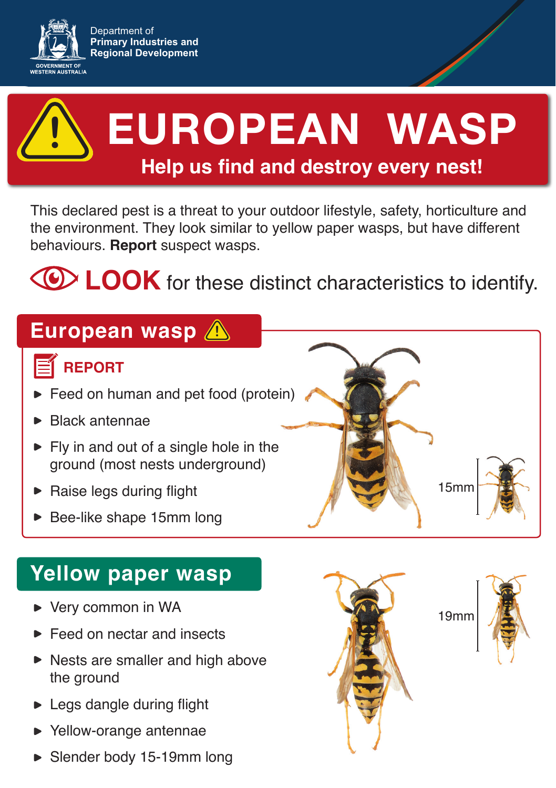



# **EUROPEAN WASP Help us find and destroy every nest! !**

This declared pest is a threat to your outdoor lifestyle, safety, horticulture and the environment. They look similar to yellow paper wasps, but have different behaviours. **Report** suspect wasps.

**CD LOOK** for these distinct characteristics to identify.

## **European wasp !**

### **REPORT**

- Feed on human and pet food (protein)
- Black antennae
- $\blacktriangleright$  Fly in and out of a single hole in the ground (most nests underground)
- Raise legs during flight
- Bee-like shape 15mm long

### **Yellow paper wasp**

- ▶ Very common in WA
- Feed on nectar and insects
- $\blacktriangleright$  Nests are smaller and high above the ground
- ► Legs dangle during flight
- Yellow-orange antennae
- ► Slender body 15-19mm long



19mm

15mm